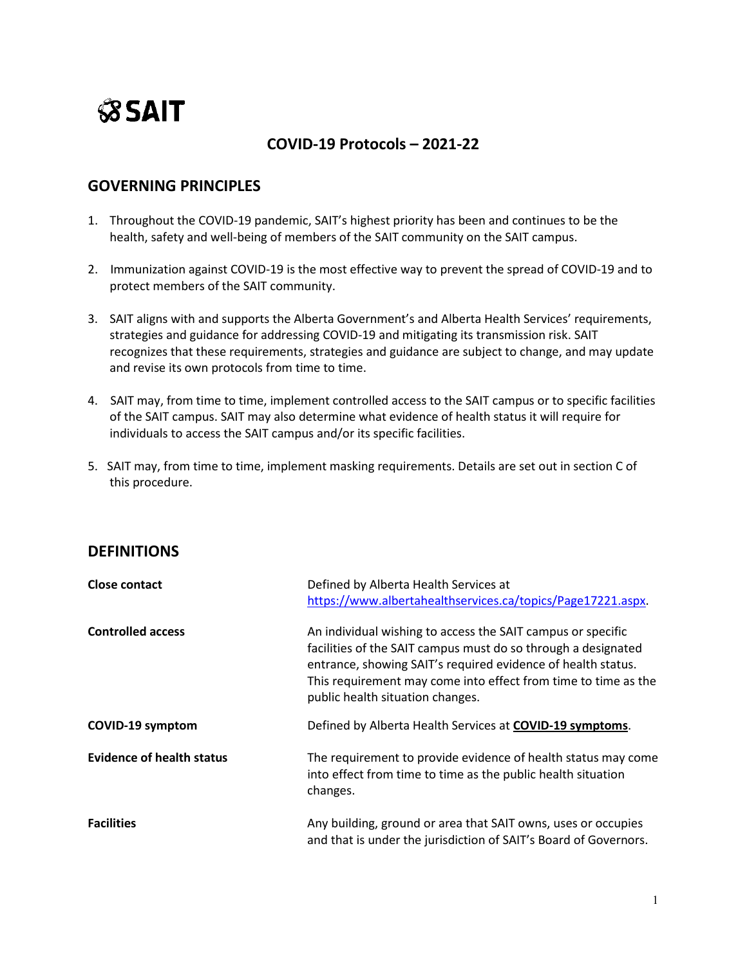# **SSAIT**

# **COVID-19 Protocols – 2021-22**

## **GOVERNING PRINCIPLES**

- 1. Throughout the COVID-19 pandemic, SAIT's highest priority has been and continues to be the health, safety and well-being of members of the SAIT community on the SAIT campus.
- 2. Immunization against COVID-19 is the most effective way to prevent the spread of COVID-19 and to protect members of the SAIT community.
- 3. SAIT aligns with and supports the Alberta Government's and Alberta Health Services' requirements, strategies and guidance for addressing COVID-19 and mitigating its transmission risk. SAIT recognizes that these requirements, strategies and guidance are subject to change, and may update and revise its own protocols from time to time.
- 4. SAIT may, from time to time, implement controlled access to the SAIT campus or to specific facilities of the SAIT campus. SAIT may also determine what evidence of health status it will require for individuals to access the SAIT campus and/or its specific facilities.
- 5. SAIT may, from time to time, implement masking requirements. Details are set out in section C of this procedure.

## **DEFINITIONS**

| <b>Close contact</b>             | Defined by Alberta Health Services at<br>https://www.albertahealthservices.ca/topics/Page17221.aspx.                                                                                                                                                                                               |
|----------------------------------|----------------------------------------------------------------------------------------------------------------------------------------------------------------------------------------------------------------------------------------------------------------------------------------------------|
| <b>Controlled access</b>         | An individual wishing to access the SAIT campus or specific<br>facilities of the SAIT campus must do so through a designated<br>entrance, showing SAIT's required evidence of health status.<br>This requirement may come into effect from time to time as the<br>public health situation changes. |
| <b>COVID-19 symptom</b>          | Defined by Alberta Health Services at COVID-19 symptoms.                                                                                                                                                                                                                                           |
| <b>Evidence of health status</b> | The requirement to provide evidence of health status may come<br>into effect from time to time as the public health situation<br>changes.                                                                                                                                                          |
| <b>Facilities</b>                | Any building, ground or area that SAIT owns, uses or occupies<br>and that is under the jurisdiction of SAIT's Board of Governors.                                                                                                                                                                  |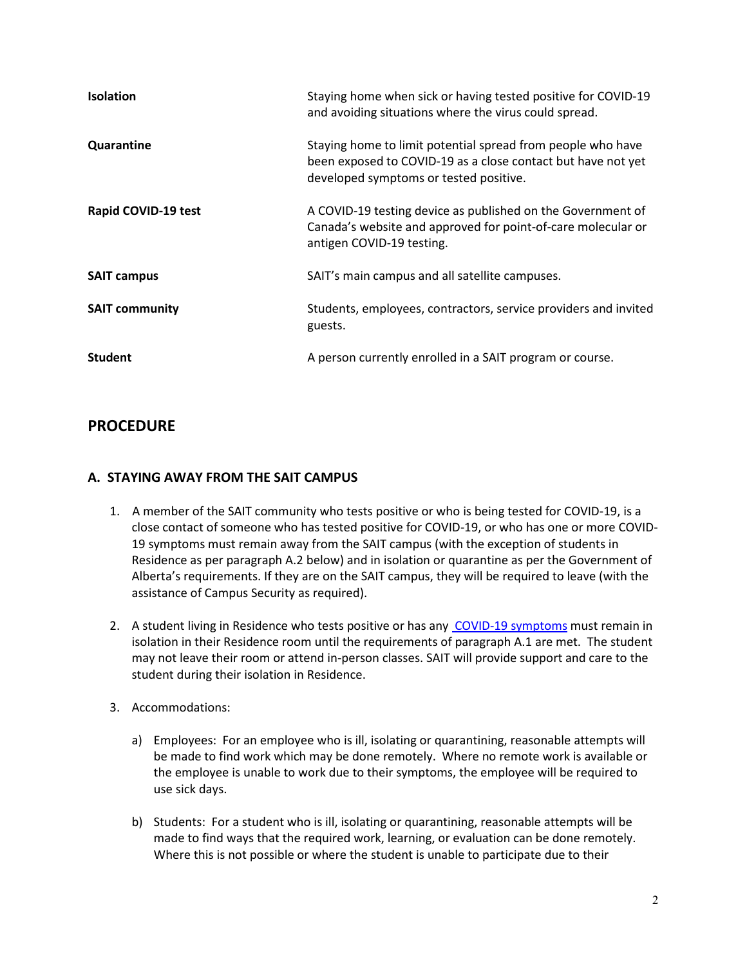| <b>Isolation</b>      | Staying home when sick or having tested positive for COVID-19<br>and avoiding situations where the virus could spread.                                                |
|-----------------------|-----------------------------------------------------------------------------------------------------------------------------------------------------------------------|
| Quarantine            | Staying home to limit potential spread from people who have<br>been exposed to COVID-19 as a close contact but have not yet<br>developed symptoms or tested positive. |
| Rapid COVID-19 test   | A COVID-19 testing device as published on the Government of<br>Canada's website and approved for point-of-care molecular or<br>antigen COVID-19 testing.              |
| <b>SAIT campus</b>    | SAIT's main campus and all satellite campuses.                                                                                                                        |
| <b>SAIT community</b> | Students, employees, contractors, service providers and invited<br>guests.                                                                                            |
| <b>Student</b>        | A person currently enrolled in a SAIT program or course.                                                                                                              |

## **PROCEDURE**

#### **A. STAYING AWAY FROM THE SAIT CAMPUS**

- 1. A member of the SAIT community who tests positive or who is being tested for COVID-19, is a close contact of someone who has tested positive for COVID-19, or who has one or more COVID-19 symptoms must remain away from the SAIT campus (with the exception of students in Residence as per paragraph A.2 below) and in isolation or quarantine as per the Government of Alberta's requirements. If they are on the SAIT campus, they will be required to leave (with the assistance of Campus Security as required).
- 2. A student living in Residence who tests positive or has any [COVID-19 symptoms](https://www.alberta.ca/covid-19-testing-in-alberta.aspx) must remain in isolation in their Residence room until the requirements of paragraph A.1 are met. The student may not leave their room or attend in-person classes. SAIT will provide support and care to the student during their isolation in Residence.
- 3. Accommodations:
	- a) Employees: For an employee who is ill, isolating or quarantining, reasonable attempts will be made to find work which may be done remotely. Where no remote work is available or the employee is unable to work due to their symptoms, the employee will be required to use sick days.
	- b) Students: For a student who is ill, isolating or quarantining, reasonable attempts will be made to find ways that the required work, learning, or evaluation can be done remotely. Where this is not possible or where the student is unable to participate due to their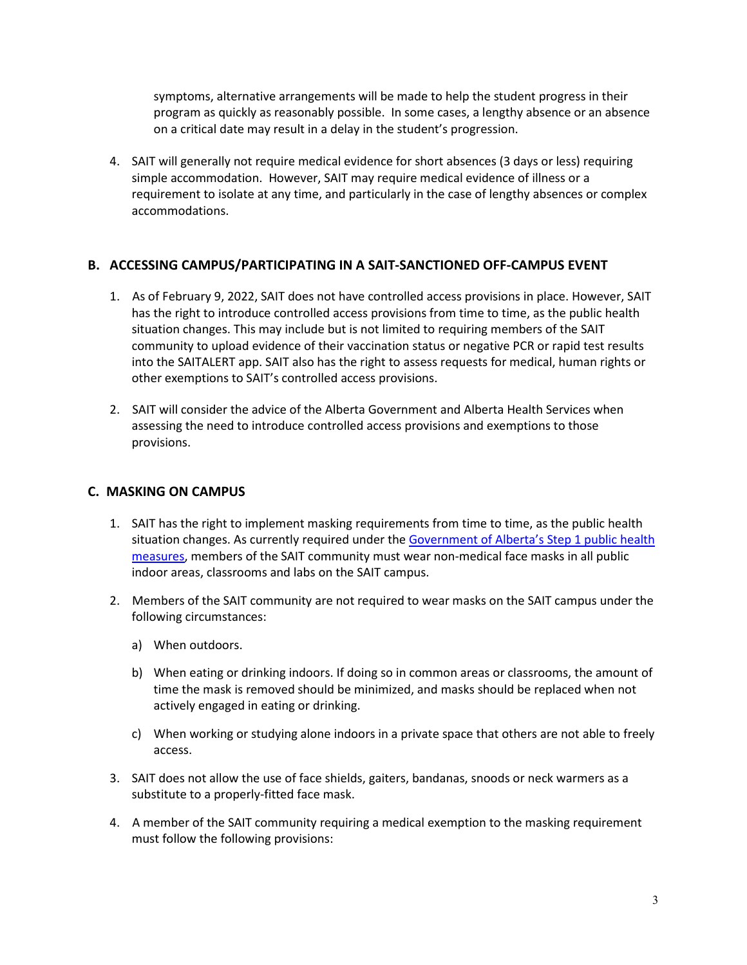symptoms, alternative arrangements will be made to help the student progress in their program as quickly as reasonably possible. In some cases, a lengthy absence or an absence on a critical date may result in a delay in the student's progression.

4. SAIT will generally not require medical evidence for short absences (3 days or less) requiring simple accommodation. However, SAIT may require medical evidence of illness or a requirement to isolate at any time, and particularly in the case of lengthy absences or complex accommodations.

#### **B. ACCESSING CAMPUS/PARTICIPATING IN A SAIT-SANCTIONED OFF-CAMPUS EVENT**

- 1. As of February 9, 2022, SAIT does not have controlled access provisions in place. However, SAIT has the right to introduce controlled access provisions from time to time, as the public health situation changes. This may include but is not limited to requiring members of the SAIT community to upload evidence of their vaccination status or negative PCR or rapid test results into the SAITALERT app. SAIT also has the right to assess requests for medical, human rights or other exemptions to SAIT's controlled access provisions.
- 2. SAIT will consider the advice of the Alberta Government and Alberta Health Services when assessing the need to introduce controlled access provisions and exemptions to those provisions.

#### **C. MASKING ON CAMPUS**

- 1. SAIT has the right to implement masking requirements from time to time, as the public health situation changes. As currently required under the [Government of Alberta's Step 1 public](https://www.alberta.ca/covid-19-public-health-actions.aspx?utm_source=google&utm_medium=sem&utm_campaign=Covid19&utm_term=REP&utm_content=REP1&gclid=EAIaIQobChMImYCdl4ab9AIVEj2tBh3wegIKEAAYASAAEgJ04_D_BwE) health [measures,](https://www.alberta.ca/covid-19-public-health-actions.aspx?utm_source=google&utm_medium=sem&utm_campaign=Covid19&utm_term=REP&utm_content=REP1&gclid=EAIaIQobChMImYCdl4ab9AIVEj2tBh3wegIKEAAYASAAEgJ04_D_BwE) members of the SAIT community must wear non-medical face masks in all public indoor areas, classrooms and labs on the SAIT campus.
- 2. Members of the SAIT community are not required to wear masks on the SAIT campus under the following circumstances:
	- a) When outdoors.
	- b) When eating or drinking indoors. If doing so in common areas or classrooms, the amount of time the mask is removed should be minimized, and masks should be replaced when not actively engaged in eating or drinking.
	- c) When working or studying alone indoors in a private space that others are not able to freely access.
- 3. SAIT does not allow the use of face shields, gaiters, bandanas, snoods or neck warmers as a substitute to a properly-fitted face mask.
- 4. A member of the SAIT community requiring a medical exemption to the masking requirement must follow the following provisions: